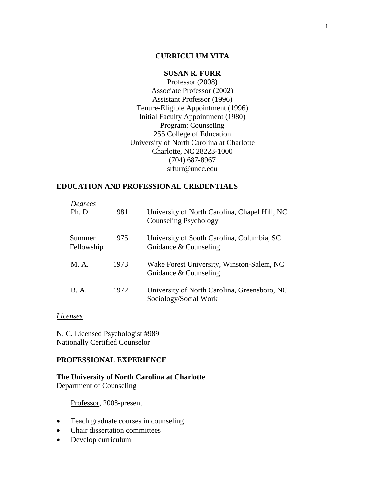## **CURRICULUM VITA**

# **SUSAN R. FURR**

Professor (2008) Associate Professor (2002) Assistant Professor (1996) Tenure-Eligible Appointment (1996) Initial Faculty Appointment (1980) Program: Counseling 255 College of Education University of North Carolina at Charlotte Charlotte, NC 28223-1000 (704) 687-8967 srfurr@uncc.edu

## **EDUCATION AND PROFESSIONAL CREDENTIALS**

| Degrees<br>Ph. D.    | 1981 | University of North Carolina, Chapel Hill, NC<br>Counseling Psychology |
|----------------------|------|------------------------------------------------------------------------|
| Summer<br>Fellowship | 1975 | University of South Carolina, Columbia, SC<br>Guidance & Counseling    |
| M A                  | 1973 | Wake Forest University, Winston-Salem, NC<br>Guidance & Counseling     |
| <b>B.A.</b>          | 1972 | University of North Carolina, Greensboro, NC<br>Sociology/Social Work  |

## *Licenses*

N. C. Licensed Psychologist #989 Nationally Certified Counselor

## **PROFESSIONAL EXPERIENCE**

## **The University of North Carolina at Charlotte** Department of Counseling

Professor, 2008-present

- Teach graduate courses in counseling
- Chair dissertation committees
- Develop curriculum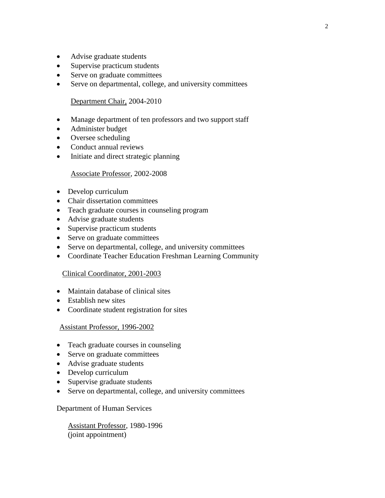- Advise graduate students
- Supervise practicum students
- Serve on graduate committees
- Serve on departmental, college, and university committees

## Department Chair, 2004-2010

- Manage department of ten professors and two support staff
- Administer budget
- Oversee scheduling
- Conduct annual reviews
- Initiate and direct strategic planning

## Associate Professor, 2002-2008

- Develop curriculum
- Chair dissertation committees
- Teach graduate courses in counseling program
- Advise graduate students
- Supervise practicum students
- Serve on graduate committees
- Serve on departmental, college, and university committees
- Coordinate Teacher Education Freshman Learning Community

## Clinical Coordinator, 2001-2003

- Maintain database of clinical sites
- Establish new sites
- Coordinate student registration for sites

## Assistant Professor, 1996-2002

- Teach graduate courses in counseling
- Serve on graduate committees
- Advise graduate students
- Develop curriculum
- Supervise graduate students
- Serve on departmental, college, and university committees

## Department of Human Services

 Assistant Professor, 1980-1996 (joint appointment)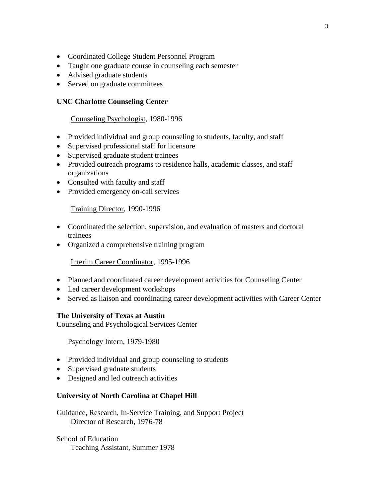- Coordinated College Student Personnel Program
- Taught one graduate course in counseling each semester
- Advised graduate students
- Served on graduate committees

# **UNC Charlotte Counseling Center**

## Counseling Psychologist, 1980-1996

- Provided individual and group counseling to students, faculty, and staff
- Supervised professional staff for licensure
- Supervised graduate student trainees
- Provided outreach programs to residence halls, academic classes, and staff organizations
- Consulted with faculty and staff
- Provided emergency on-call services

Training Director, 1990-1996

- Coordinated the selection, supervision, and evaluation of masters and doctoral trainees
- Organized a comprehensive training program

Interim Career Coordinator, 1995-1996

- Planned and coordinated career development activities for Counseling Center
- Led career development workshops
- Served as liaison and coordinating career development activities with Career Center

## **The University of Texas at Austin**

Counseling and Psychological Services Center

## Psychology Intern, 1979-1980

- Provided individual and group counseling to students
- Supervised graduate students
- Designed and led outreach activities

## **University of North Carolina at Chapel Hill**

Guidance, Research, In-Service Training, and Support Project Director of Research, 1976-78

School of Education Teaching Assistant, Summer 1978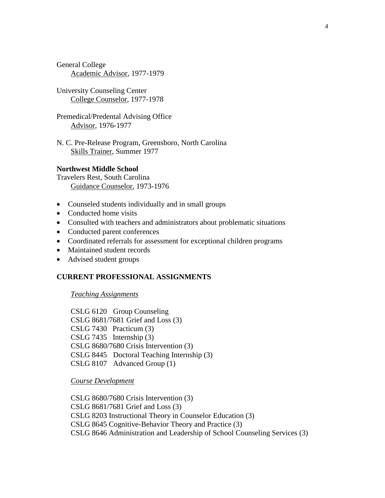General College Academic Advisor, 1977-1979

University Counseling Center College Counselor, 1977-1978

Premedical/Predental Advising Office Advisor, 1976-1977

N. C. Pre-Release Program, Greensboro, North Carolina Skills Trainer, Summer 1977

## **Northwest Middle School**

Travelers Rest, South Carolina Guidance Counselor, 1973-1976

- Counseled students individually and in small groups
- Conducted home visits
- Consulted with teachers and administrators about problematic situations
- Conducted parent conferences
- Coordinated referrals for assessment for exceptional children programs
- Maintained student records
- Advised student groups

## **CURRENT PROFESSIONAL ASSIGNMENTS**

## *Teaching Assignments*

CSLG 6120 Group Counseling CSLG 8681/7681 Grief and Loss (3) CSLG 7430 Practicum (3) CSLG 7435 Internship (3) CSLG 8680/7680 Crisis Intervention (3) CSLG 8445 Doctoral Teaching Internship (3) CSLG 8107 Advanced Group (1)

*Course Development*

CSLG 8680/7680 Crisis Intervention (3) CSLG 8681/7681 Grief and Loss (3) CSLG 8203 Instructional Theory in Counselor Education (3) CSLG 8645 Cognitive-Behavior Theory and Practice (3) CSLG 8646 Administration and Leadership of School Counseling Services (3)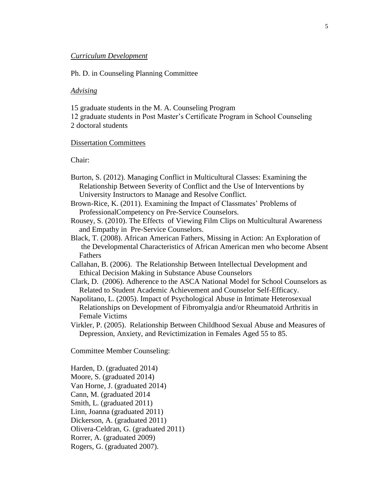#### *Curriculum Development*

### Ph. D. in Counseling Planning Committee

#### *Advising*

15 graduate students in the M. A. Counseling Program

12 graduate students in Post Master's Certificate Program in School Counseling 2 doctoral students

## Dissertation Committees

Chair:

- Burton, S. (2012). Managing Conflict in Multicultural Classes: Examining the Relationship Between Severity of Conflict and the Use of Interventions by University Instructors to Manage and Resolve Conflict.
- Brown-Rice, K. (2011). Examining the Impact of Classmates' Problems of ProfessionalCompetency on Pre-Service Counselors.
- Rousey, S. (2010). The Effects of Viewing Film Clips on Multicultural Awareness and Empathy in Pre-Service Counselors.
- Black, T. (2008). African American Fathers, Missing in Action: An Exploration of the Developmental Characteristics of African American men who become Absent Fathers
- Callahan, B. (2006). The Relationship Between Intellectual Development and Ethical Decision Making in Substance Abuse Counselors
- Clark, D. (2006). Adherence to the ASCA National Model for School Counselors as Related to Student Academic Achievement and Counselor Self-Efficacy.
- Napolitano, L. (2005). Impact of Psychological Abuse in Intimate Heterosexual Relationships on Development of Fibromyalgia and/or Rheumatoid Arthritis in Female Victims
- Virkler, P. (2005). Relationship Between Childhood Sexual Abuse and Measures of Depression, Anxiety, and Revictimization in Females Aged 55 to 85.

Committee Member Counseling:

Harden, D. (graduated 2014) Moore, S. (graduated 2014) Van Horne, J. (graduated 2014) Cann, M. (graduated 2014 Smith, L. (graduated 2011) Linn, Joanna (graduated 2011) Dickerson, A. (graduated 2011) Olivera-Celdran, G. (graduated 2011) Rorrer, A. (graduated 2009) Rogers, G. (graduated 2007).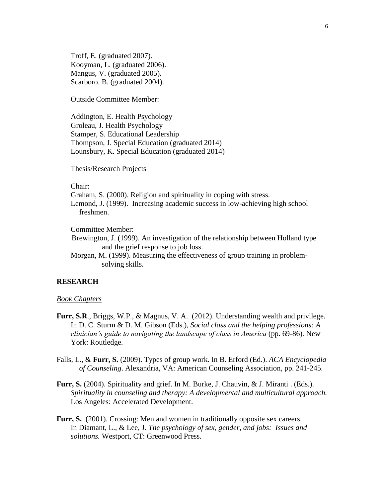Troff, E. (graduated 2007). Kooyman, L. (graduated 2006). Mangus, V. (graduated 2005). Scarboro. B. (graduated 2004).

Outside Committee Member:

Addington, E. Health Psychology Groleau, J. Health Psychology Stamper, S. Educational Leadership Thompson, J. Special Education (graduated 2014) Lounsbury, K. Special Education (graduated 2014)

Thesis/Research Projects

Chair:

Graham, S. (2000). Religion and spirituality in coping with stress.

Lemond, J. (1999). Increasing academic success in low-achieving high school freshmen.

Committee Member:

 Brewington, J. (1999). An investigation of the relationship between Holland type and the grief response to job loss.

Morgan, M. (1999). Measuring the effectiveness of group training in problemsolving skills.

## **RESEARCH**

#### *Book Chapters*

- **Furr, S.R**., Briggs, W.P., & Magnus, V. A. (2012). Understanding wealth and privilege. In D. C. Sturm & D. M. Gibson (Eds.), *Social class and the helping professions: A clinician's guide to navigating the landscape of class in America* (pp. 69-86)*.* New York: Routledge.
- Falls, L., & **Furr, S.** (2009). Types of group work. In B. Erford (Ed.). *ACA Encyclopedia of Counseling*. Alexandria, VA: American Counseling Association, pp. 241-245.
- **Furr, S.** (2004). Spirituality and grief. In M. Burke, J. Chauvin, & J. Miranti . (Eds.). *Spirituality in counseling and therapy: A developmental and multicultural approach.*  Los Angeles: Accelerated Development.
- **Furr, S.** (2001). Crossing: Men and women in traditionally opposite sex careers. In Diamant, L., & Lee, J. *The psychology of sex, gender, and jobs: Issues and solutions.* Westport, CT: Greenwood Press.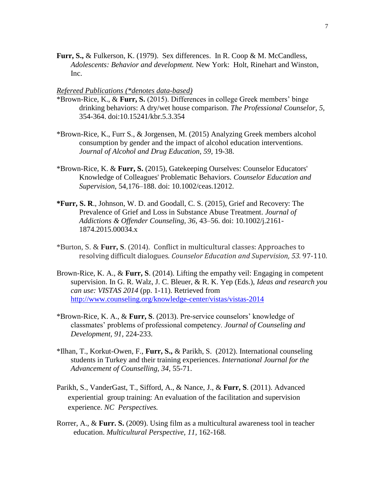Furr, S., & Fulkerson, K. (1979). Sex differences. In R. Coop & M. McCandless, *Adolescents: Behavior and development.* New York: Holt, Rinehart and Winston, Inc.

### *Refereed Publications (\*denotes data-based)*

- \*Brown-Rice, K., & **Furr, S.** (2015). Differences in college Greek members' binge drinking behaviors: A dry/wet house comparison. *The Professional Counselor, 5,* 354-364. doi:10.15241/kbr.5.3.354
- \*Brown-Rice, K., Furr S., & Jorgensen, M. (2015) Analyzing Greek members alcohol consumption by gender and the impact of alcohol education interventions. *Journal of Alcohol and Drug Education, 59,* 19-38.
- \*Brown-Rice, K. & **Furr, S.** (2015), Gatekeeping Ourselves: Counselor Educators' Knowledge of Colleagues' Problematic Behaviors. *Counselor Education and Supervision*, 54,176–188. doi: 10.1002/ceas.12012.
- **\*Furr, S. R**., Johnson, W. D. and Goodall, C. S. (2015), Grief and Recovery: The Prevalence of Grief and Loss in Substance Abuse Treatment. *Journal of Addictions & Offender Counseling, 36*, 43–56. doi: 10.1002/j.2161- 1874.2015.00034.x
- \*Burton, S. & **Furr, S**. (2014). Conflict in multicultural classes: Approaches to resolving difficult dialogues. *Counselor Education and Supervision, 53.* 97-110.
- Brown-Rice, K. A., & **Furr, S**. (2014). Lifting the empathy veil: Engaging in competent supervision. In G. R. Walz, J. C. Bleuer, & R. K. Yep (Eds.), *Ideas and research you can use: VISTAS 2014* (pp. 1-11). Retrieved from [http://www.counseling.org/knowledge-center/vistas/vistas-2014](https://urldefense.proofpoint.com/v1/url?u=http://www.counseling.org/knowledge-center/vistas/vistas-2014&k=rPDsRmU4QOB12tMYRtqLtA%3D%3D%0A&r=NR58%2F764AqBHofnGQx%2FZdQJYajOZN%2BBnU888T3nr0eI%3D%0A&m=YxMDf0drTshtodvlvaFNTZXCUIJHLmUsHeOze1vJkCs%3D%0A&s=a2cc9576f5866c614135331ee2f3d31086dfa5a6c8810249c179dc4957a28bba)
- \*Brown-Rice, K. A., & **Furr, S**. (2013). Pre-service counselors' knowledge of classmates' problems of professional competency. *Journal of Counseling and Development, 91,* 224-233.
- \*Ilhan, T., Korkut-Owen, F., **Furr, S.,** & Parikh, S. (2012). International counseling students in Turkey and their training experiences. *International Journal for the Advancement of Counselling, 34,* 55-71.
- Parikh, S., VanderGast, T., Sifford, A., & Nance, J., & **Furr, S**. (2011). Advanced experiential group training: An evaluation of the facilitation and supervision experience. *NC Perspectives.*
- Rorrer, A., & **Furr. S.** (2009). Using film as a multicultural awareness tool in teacher education. *Multicultural Perspective, 11,* 162-168*.*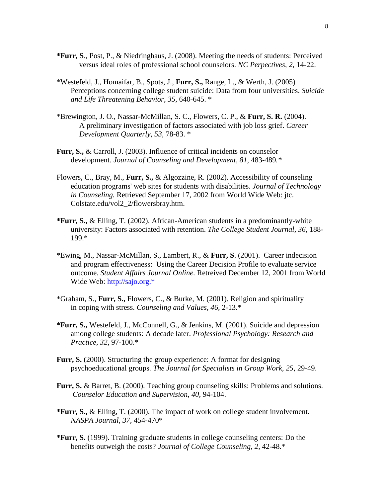- **\*Furr, S**., Post, P., & Niedringhaus, J. (2008). Meeting the needs of students: Perceived versus ideal roles of professional school counselors. *NC Perpectives, 2,* 14-22.
- \*Westefeld, J., Homaifar, B., Spots, J., **Furr, S.,** Range, L., & Werth, J. (2005) Perceptions concerning college student suicide: Data from four universities. *Suicide and Life Threatening Behavior*, *35,* 640-645. \*
- \*Brewington, J. O., Nassar-McMillan, S. C., Flowers, C. P., & **Furr, S. R.** (2004). A preliminary investigation of factors associated with job loss grief. *Career Development Quarterly, 53,* 78-83. \*
- **Furr, S.,** & Carroll, J. (2003). Influence of critical incidents on counselor development. *Journal of Counseling and Development, 81,* 483-489*.\**
- Flowers, C., Bray, M., **Furr, S.,** & Algozzine, R. (2002). Accessibility of counseling education programs' web sites for students with disabilities. *Journal of Technology in Counseling.* Retrieved September 17, 2002 from World Wide Web: jtc. Colstate.edu/vol2\_2/flowersbray.htm.
- **\*Furr, S.,** & Elling, T. (2002). African-American students in a predominantly-white university: Factors associated with retention. *The College Student Journal, 36,* 188- 199.\*
- \*Ewing, M., Nassar-McMillan, S., Lambert, R., & **Furr, S**. (2001). Career indecision and program effectiveness: Using the Career Decision Profile to evaluate service outcome. *Student Affairs Journal Online.* Retreived December 12, 2001 from World Wide Web: [http://sajo.org.\\*](http://sajo.org.*/)
- \*Graham, S., **Furr, S.,** Flowers, C., & Burke, M. (2001). Religion and spirituality in coping with stress. *Counseling and Values, 46,* 2-13.\*
- **\*Furr, S.,** Westefeld, J., McConnell, G., & Jenkins, M. (2001). Suicide and depression among college students: A decade later. *Professional Psychology: Research and Practice, 32,* 97-100.\*
- **Furr, S.** (2000). Structuring the group experience: A format for designing psychoeducational groups*. The Journal for Specialists in Group Work, 25*, 29-49.
- **Furr, S.** & Barret, B. (2000). Teaching group counseling skills: Problems and solutions. *Counselor Education and Supervision, 40,* 94-104.
- **\*Furr, S.,** & Elling, T. (2000). The impact of work on college student involvement. *NASPA Journal, 37,* 454-470\*
- **\*Furr, S.** (1999). Training graduate students in college counseling centers: Do the benefits outweigh the costs? *Journal of College Counseling, 2,* 42-48.\*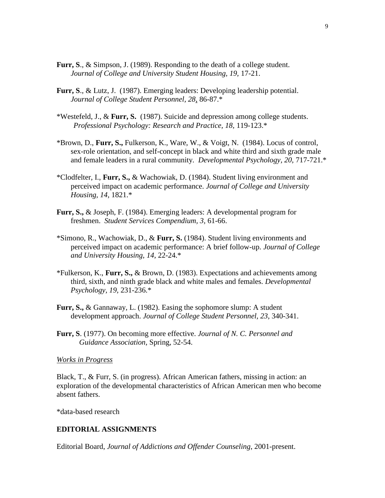- **Furr, S**., & Simpson, J. (1989). Responding to the death of a college student. *Journal of College and University Student Housing, 19,* 17-21.
- **Furr, S**., & Lutz, J. (1987). Emerging leaders: Developing leadership potential. *Journal of College Student Personnel, 28*, 86-87.\*
- \*Westefeld, J., & **Furr, S.** (1987). Suicide and depression among college students. *Professional Psychology: Research and Practice, 18,* 119-123.\*
- \*Brown, D., **Furr, S.,** Fulkerson, K., Ware, W., & Voigt, N. (1984). Locus of control, sex-role orientation, and self-concept in black and white third and sixth grade male and female leaders in a rural community*. Developmental Psychology, 20,* 717-721.\*
- \*Clodfelter, I., **Furr, S.,** & Wachowiak, D. (1984). Student living environment and perceived impact on academic performance. *Journal of College and University Housing, 14,* 1821.\*
- **Furr, S.,** & Joseph, F. (1984). Emerging leaders: A developmental program for freshmen. *Student Services Compendium, 3,* 61-66.
- \*Simono, R., Wachowiak, D., & **Furr, S.** (1984). Student living environments and perceived impact on academic performance: A brief follow-up. *Journal of College and University Housing, 14,* 22-24.\*
- \*Fulkerson, K., **Furr, S.,** & Brown, D. (1983). Expectations and achievements among third, sixth, and ninth grade black and white males and females. *Developmental Psychology, 19,* 231-236.\*
- **Furr, S.,** & Gannaway, L. (1982). Easing the sophomore slump: A student development approach. *Journal of College Student Personnel, 23,* 340-341.
- **Furr, S**. (1977). On becoming more effective. *Journal of N. C. Personnel and Guidance Association,* Spring, 52-54.

### *Works in Progress*

Black, T., & Furr, S. (in progress). African American fathers, missing in action: an exploration of the developmental characteristics of African American men who become absent fathers.

\*data-based research

## **EDITORIAL ASSIGNMENTS**

Editorial Board, *Journal of Addictions and Offender Counseling*, 2001-present.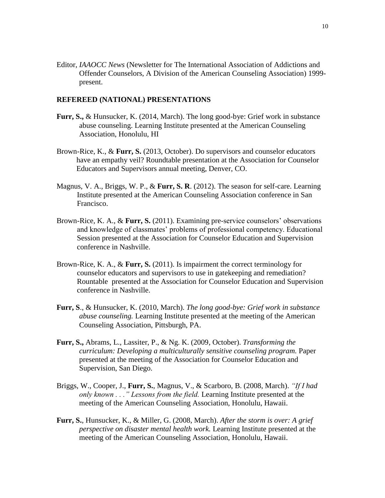Editor, *IAAOCC News* (Newsletter for The International Association of Addictions and Offender Counselors, A Division of the American Counseling Association) 1999 present.

#### **REFEREED (NATIONAL) PRESENTATIONS**

- **Furr, S.,** & Hunsucker, K. (2014, March). The long good-bye: Grief work in substance abuse counseling. Learning Institute presented at the American Counseling Association, Honolulu, HI
- Brown-Rice, K., & **Furr, S.** (2013, October). Do supervisors and counselor educators have an empathy veil? Roundtable presentation at the Association for Counselor Educators and Supervisors annual meeting, Denver, CO.
- Magnus, V. A., Briggs, W. P., & **Furr, S. R**. (2012). The season for self-care. Learning Institute presented at the American Counseling Association conference in San Francisco.
- Brown-Rice, K. A., & **Furr, S.** (2011). Examining pre-service counselors' observations and knowledge of classmates' problems of professional competency. Educational Session presented at the Association for Counselor Education and Supervision conference in Nashville.
- Brown-Rice, K. A., & **Furr, S.** (2011). Is impairment the correct terminology for counselor educators and supervisors to use in gatekeeping and remediation? Rountable presented at the Association for Counselor Education and Supervision conference in Nashville.
- **Furr, S**., & Hunsucker, K. (2010, March). *The long good-bye: Grief work in substance abuse counseling.* Learning Institute presented at the meeting of the American Counseling Association, Pittsburgh, PA.
- **Furr, S.,** Abrams, L., Lassiter, P., & Ng. K. (2009, October). *Transforming the curriculum: Developing a multiculturally sensitive counseling program.* Paper presented at the meeting of the Association for Counselor Education and Supervision, San Diego.
- Briggs, W., Cooper, J., **Furr, S.**, Magnus, V., & Scarboro, B. (2008, March). *"If I had only known . . ." Lessons from the field.* Learning Institute presented at the meeting of the American Counseling Association, Honolulu, Hawaii.
- **Furr, S.**, Hunsucker, K., & Miller, G. (2008, March). *After the storm is over: A grief perspective on disaster mental health work.* Learning Institute presented at the meeting of the American Counseling Association, Honolulu, Hawaii.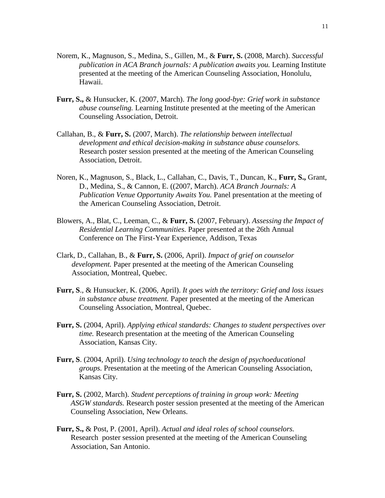- Norem, K., Magnuson, S., Medina, S., Gillen, M., & **Furr, S.** (2008, March). *Successful publication in ACA Branch journals: A publication awaits you.* Learning Institute presented at the meeting of the American Counseling Association, Honolulu, Hawaii.
- **Furr, S.,** & Hunsucker, K. (2007, March). *The long good-bye: Grief work in substance abuse counseling.* Learning Institute presented at the meeting of the American Counseling Association, Detroit.
- Callahan, B., & **Furr, S.** (2007, March). *The relationship between intellectual development and ethical decision-making in substance abuse counselors.* Research poster session presented at the meeting of the American Counseling Association, Detroit.
- Noren, K., Magnuson, S., Black, L., Callahan, C., Davis, T., Duncan, K., **Furr, S.,** Grant, D., Medina, S., & Cannon, E. ((2007, March). *ACA Branch Journals: A Publication Venue Opportunity Awaits You.* Panel presentation at the meeting of the American Counseling Association, Detroit.
- Blowers, A., Blat, C., Leeman, C., & **Furr, S.** (2007, February). *Assessing the Impact of Residential Learning Communities.* Paper presented at the 26th Annual Conference on The First-Year Experience, Addison, Texas
- Clark, D., Callahan, B., & **Furr, S.** (2006, April). *Impact of grief on counselor development.* Paper presented at the meeting of the American Counseling Association, Montreal, Quebec.
- **Furr, S**., & Hunsucker, K. (2006, April). *It goes with the territory: Grief and loss issues in substance abuse treatment.* Paper presented at the meeting of the American Counseling Association, Montreal, Quebec.
- **Furr, S.** (2004, April). *Applying ethical standards: Changes to student perspectives over time.* Research presentation at the meeting of the American Counseling Association, Kansas City.
- **Furr, S**. (2004, April). *Using technology to teach the design of psychoeducational groups.* Presentation at the meeting of the American Counseling Association, Kansas City.
- **Furr, S.** (2002, March). *Student perceptions of training in group work: Meeting ASGW standards.* Research poster session presented at the meeting of the American Counseling Association, New Orleans.
- **Furr, S.,** & Post, P. (2001, April). *Actual and ideal roles of school counselors.* Research poster session presented at the meeting of the American Counseling Association, San Antonio.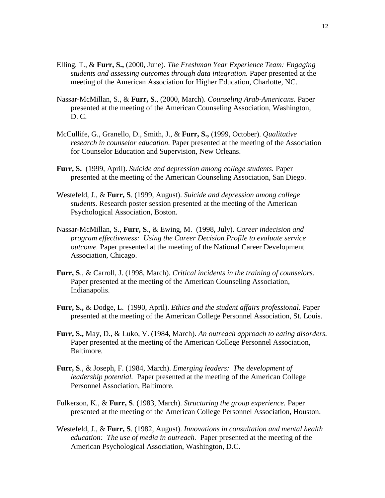- Elling, T., & **Furr, S.,** (2000, June). *The Freshman Year Experience Team: Engaging students and assessing outcomes through data integration.* Paper presented at the meeting of the American Association for Higher Education, Charlotte, NC.
- Nassar-McMillan, S., & **Furr, S**., (2000, March). *Counseling Arab-Americans.* Paper presented at the meeting of the American Counseling Association, Washington, D. C.
- McCullife, G., Granello, D., Smith, J., & **Furr, S.,** (1999, October). *Qualitative research in counselor education.* Paper presented at the meeting of the Association for Counselor Education and Supervision, New Orleans.
- **Furr, S.** (1999, April). *Suicide and depression among college students.* Paper presented at the meeting of the American Counseling Association, San Diego.
- Westefeld, J., & **Furr, S**. (1999, August). *Suicide and depression among college students.* Research poster session presented at the meeting of the American Psychological Association, Boston.
- Nassar-McMillan, S., **Furr, S**., & Ewing, M. (1998, July). *Career indecision and program effectiveness: Using the Career Decision Profile to evaluate service outcome.* Paper presented at the meeting of the National Career Development Association, Chicago.
- **Furr, S**., & Carroll, J. (1998, March). *Critical incidents in the training of counselors.* Paper presented at the meeting of the American Counseling Association, Indianapolis.
- **Furr, S.,** & Dodge, L. (1990, April). *Ethics and the student affairs professional.* Paper presented at the meeting of the American College Personnel Association, St. Louis.
- **Furr, S.,** May, D., & Luko, V. (1984, March). *An outreach approach to eating disorders.* Paper presented at the meeting of the American College Personnel Association, Baltimore.
- **Furr, S**., & Joseph, F. (1984, March). *Emerging leaders: The development of leadership potential.* Paper presented at the meeting of the American College Personnel Association, Baltimore.
- Fulkerson, K., & **Furr, S**. (1983, March). *Structuring the group experience.* Paper presented at the meeting of the American College Personnel Association, Houston.
- Westefeld, J., & **Furr, S**. (1982, August). *Innovations in consultation and mental health education: The use of media in outreach.* Paper presented at the meeting of the American Psychological Association, Washington, D.C.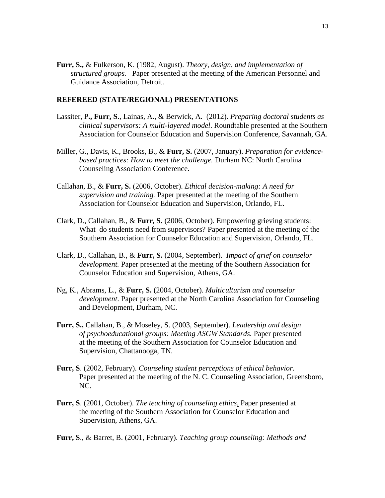**Furr, S.,** & Fulkerson, K. (1982, August). *Theory, design, and implementation of structured groups.* Paper presented at the meeting of the American Personnel and Guidance Association, Detroit.

#### **REFEREED (STATE/REGIONAL) PRESENTATIONS**

- Lassiter, P**., Furr, S**., Lainas, A., & Berwick, A. (2012). *Preparing doctoral students as clinical supervisors: A multi-layered model*. Roundtable presented at the Southern Association for Counselor Education and Supervision Conference, Savannah, GA.
- Miller, G., Davis, K., Brooks, B., & **Furr, S.** (2007, January). *Preparation for evidencebased practices: How to meet the challenge.* Durham NC: North Carolina Counseling Association Conference.
- Callahan, B., & **Furr, S.** (2006, October). *Ethical decision-making: A need for supervision and training.* Paper presented at the meeting of the Southern Association for Counselor Education and Supervision, Orlando, FL.
- Clark, D., Callahan, B., & **Furr, S.** (2006, October). Empowering grieving students: What do students need from supervisors? Paper presented at the meeting of the Southern Association for Counselor Education and Supervision, Orlando, FL.
- Clark, D., Callahan, B., & **Furr, S.** (2004, September). *Impact of grief on counselor development.* Paper presented at the meeting of the Southern Association for Counselor Education and Supervision, Athens, GA.
- Ng, K., Abrams, L., & **Furr, S.** (2004, October). *Multiculturism and counselor development*. Paper presented at the North Carolina Association for Counseling and Development, Durham, NC.
- **Furr, S.,** Callahan, B., & Moseley, S. (2003, September). *Leadership and design of psychoeducational groups: Meeting ASGW Standards.* Paper presented at the meeting of the Southern Association for Counselor Education and Supervision, Chattanooga, TN.
- **Furr, S**. (2002, February). *Counseling student perceptions of ethical behavior.* Paper presented at the meeting of the N. C. Counseling Association, Greensboro, NC.
- **Furr, S**. (2001, October). *The teaching of counseling ethics*. Paper presented at the meeting of the Southern Association for Counselor Education and Supervision, Athens, GA.
- **Furr, S**., & Barret, B. (2001, February). *Teaching group counseling: Methods and*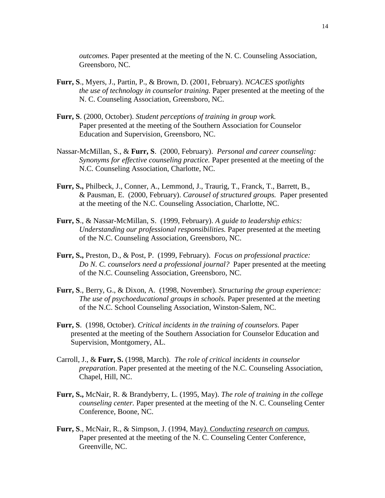*outcomes.* Paper presented at the meeting of the N. C. Counseling Association, Greensboro, NC.

- **Furr, S**., Myers, J., Partin, P., & Brown, D. (2001, February). *NCACES spotlights the use of technology in counselor training.* Paper presented at the meeting of the N. C. Counseling Association, Greensboro, NC.
- **Furr, S**. (2000, October). *Student perceptions of training in group work.* Paper presented at the meeting of the Southern Association for Counselor Education and Supervision, Greensboro, NC.
- Nassar-McMillan, S., & **Furr, S**. (2000, February). *Personal and career counseling: Synonyms for effective counseling practice.* Paper presented at the meeting of the N.C. Counseling Association, Charlotte, NC.
- **Furr, S.,** Philbeck, J., Conner, A., Lemmond, J., Traurig, T., Franck, T., Barrett, B., & Pausman, E. (2000, February). *Carousel of structured groups.* Paper presented at the meeting of the N.C. Counseling Association, Charlotte, NC.
- **Furr, S**., & Nassar-McMillan, S. (1999, February). *A guide to leadership ethics: Understanding our professional responsibilities.* Paper presented at the meeting of the N.C. Counseling Association, Greensboro, NC.
- **Furr, S.,** Preston, D., & Post, P. (1999, February). *Focus on professional practice: Do N. C. counselors need a professional journal?* Paper presented at the meeting of the N.C. Counseling Association, Greensboro, NC.
- **Furr, S**., Berry, G., & Dixon, A. (1998, November). *Structuring the group experience: The use of psychoeducational groups in schools.* Paper presented at the meeting of the N.C. School Counseling Association, Winston-Salem, NC.
- **Furr, S**. (1998, October). *Critical incidents in the training of counselors.* Paper presented at the meeting of the Southern Association for Counselor Education and Supervision, Montgomery, AL.
- Carroll, J., & **Furr, S.** (1998, March). *The role of critical incidents in counselor preparation*. Paper presented at the meeting of the N.C. Counseling Association, Chapel, Hill, NC.
- **Furr, S.,** McNair, R. & Brandyberry, L. (1995, May). *The role of training in the college counseling center.* Paper presented at the meeting of the N. C. Counseling Center Conference, Boone, NC.
- **Furr, S**., McNair, R., & Simpson, J. (1994, May*). Conducting research on campus.* Paper presented at the meeting of the N. C. Counseling Center Conference, Greenville, NC.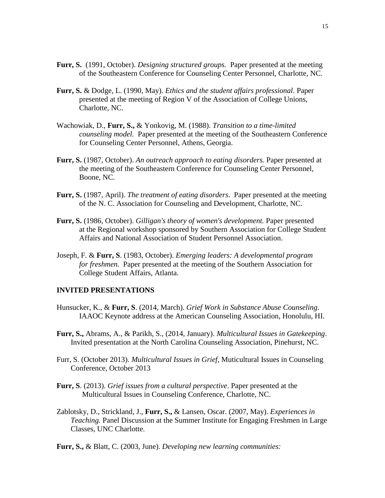- **Furr, S.** (1991, October). *Designing structured groups.* Paper presented at the meeting of the Southeastern Conference for Counseling Center Personnel, Charlotte, NC.
- **Furr, S.** & Dodge, L. (1990, May). *Ethics and the student affairs professional*. Paper presented at the meeting of Region V of the Association of College Unions, Charlotte, NC.
- Wachowiak, D., **Furr, S.,** & Yonkovig, M. (1988). *Transition to a time-limited counseling model.* Paper presented at the meeting of the Southeastern Conference for Counseling Center Personnel, Athens, Georgia.
- **Furr, S.** (1987, October). *An outreach approach to eating disorders.* Paper presented at the meeting of the Southeastern Conference for Counseling Center Personnel, Boone, NC.
- **Furr, S.** (1987, April). *The treatment of eating disorders*. Paper presented at the meeting of the N. C. Association for Counseling and Development, Charlotte, NC.
- **Furr, S.** (1986, October). *Gilligan's theory of women's development.* Paper presented at the Regional workshop sponsored by Southern Association for College Student Affairs and National Association of Student Personnel Association.
- Joseph, F. & **Furr, S**. (1983, October). *Emerging leaders: A developmental program for freshmen.* Paper presented at the meeting of the Southern Association for College Student Affairs, Atlanta.

# **INVITED PRESENTATIONS**

- Hunsucker, K., & **Furr, S**. (2014, March). *Grief Work in Substance Abuse Counseling*. IAAOC Keynote address at the American Counseling Association, Honolulu, HI.
- **Furr, S.,** Abrams, A., & Parikh, S., (2014, January). *Multicultural Issues in Gatekeeping*. Invited presentation at the North Carolina Counseling Association, Pinehurst, NC.
- Furr, S. (October 2013). *Multicultural Issues in Grief*, Muticultural Issues in Counseling Conference, October 2013
- **Furr, S**. (2013). *Grief issues from a cultural perspective*. Paper presented at the Multicultural Issues in Counseling Conference, Charlotte, NC.
- Zablotsky, D., Strickland, J., **Furr, S.,** & Lansen, Oscar. (2007, May). *Experiences in Teaching.* Panel Discussion at the Summer Institute for Engaging Freshmen in Large Classes, UNC Charlotte.
- **Furr, S.,** & Blatt, C. (2003, June). *Developing new learning communities:*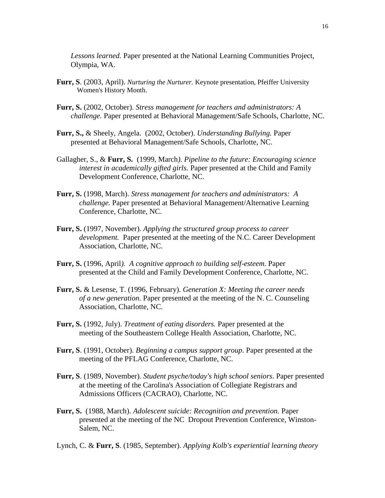*Lessons learned.* Paper presented at the National Learning Communities Project, Olympia, WA.

- **Furr, S**. (2003, April). *Nurturing the Nurturer.* Keynote presentation, Pfeiffer University Women's History Month.
- **Furr, S.** (2002, October). *Stress management for teachers and administrators: A challenge.* Paper presented at Behavioral Management/Safe Schools, Charlotte, NC.
- **Furr, S.,** & Sheely, Angela. (2002, October). *Understanding Bullying.* Paper presented at Behavioral Management/Safe Schools, Charlotte, NC.
- Gallagher, S., & **Furr, S.** (1999, March*). Pipeline to the future: Encouraging science interest in academically gifted girls.* Paper presented at the Child and Family Development Conference, Charlotte, NC.
- **Furr, S.** (1998, March). *Stress management for teachers and administrators: A challenge.* Paper presented at Behavioral Management/Alternative Learning Conference, Charlotte, NC.
- **Furr, S.** (1997, November). *Applying the structured group process to career development.* Paper presented at the meeting of the N.C. Career Development Association, Charlotte, NC.
- **Furr, S.** (1996, April*). A cognitive approach to building self-esteem.* Paper presented at the Child and Family Development Conference, Charlotte, NC.
- **Furr, S.** & Lesense, T. (1996, February). *Generation X: Meeting the career needs of a new generation.* Paper presented at the meeting of the N. C. Counseling Association, Charlotte, NC.
- **Furr, S.** (1992, July). *Treatment of eating disorders.* Paper presented at the meeting of the Southeastern College Health Association, Charlotte, NC.
- **Furr, S**. (1991, October). *Beginning a campus support group.* Paper presented at the meeting of the PFLAG Conference, Charlotte, NC.
- **Furr, S**. (1989, November). *Student psyche/today's high school seniors.* Paper presented at the meeting of the Carolina's Association of Collegiate Registrars and Admissions Officers (CACRAO), Charlotte, NC.
- **Furr, S.** (1988, March). *Adolescent suicide: Recognition and prevention.* Paper presented at the meeting of the NC Dropout Prevention Conference, Winston-Salem, NC.
- Lynch, C. & **Furr, S**. (1985, September). *Applying Kolb's experiential learning theory*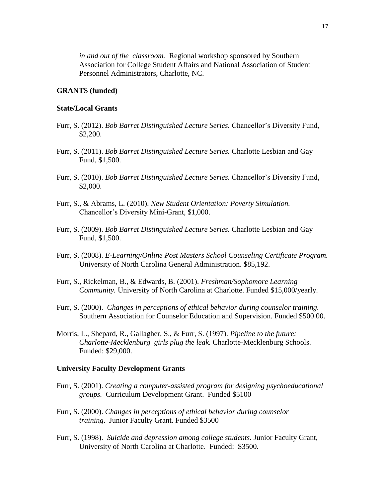*in and out of the classroom.* Regional workshop sponsored by Southern Association for College Student Affairs and National Association of Student Personnel Administrators, Charlotte, NC.

## **GRANTS (funded)**

### **State/Local Grants**

- Furr, S. (2012). *Bob Barret Distinguished Lecture Series.* Chancellor's Diversity Fund, \$2,200.
- Furr, S. (2011). *Bob Barret Distinguished Lecture Series.* Charlotte Lesbian and Gay Fund, \$1,500.
- Furr, S. (2010). *Bob Barret Distinguished Lecture Series.* Chancellor's Diversity Fund, \$2,000.
- Furr, S., & Abrams, L. (2010). *New Student Orientation: Poverty Simulation.*  Chancellor's Diversity Mini-Grant, \$1,000.
- Furr, S. (2009). *Bob Barret Distinguished Lecture Series.* Charlotte Lesbian and Gay Fund, \$1,500.
- Furr, S. (2008). *E-Learning/Online Post Masters School Counseling Certificate Program.*  University of North Carolina General Administration. \$85,192.
- Furr, S., Rickelman, B., & Edwards, B. (2001). *Freshman/Sophomore Learning Community.* University of North Carolina at Charlotte. Funded \$15,000/yearly.
- Furr, S. (2000). *Changes in perceptions of ethical behavior during counselor training.* Southern Association for Counselor Education and Supervision. Funded \$500.00.
- Morris, L., Shepard, R., Gallagher, S., & Furr, S. (1997). *Pipeline to the future: Charlotte-Mecklenburg girls plug the leak.* Charlotte-Mecklenburg Schools. Funded: \$29,000.

#### **University Faculty Development Grants**

- Furr, S. (2001). *Creating a computer-assisted program for designing psychoeducational groups.* Curriculum Development Grant. Funded \$5100
- Furr, S. (2000). *Changes in perceptions of ethical behavior during counselor training*. Junior Faculty Grant. Funded \$3500
- Furr, S. (1998). *Suicide and depression among college students.* Junior Faculty Grant, University of North Carolina at Charlotte. Funded: \$3500.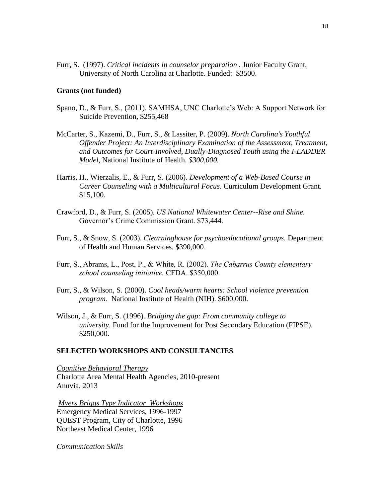Furr, S. (1997). *Critical incidents in counselor preparation .* Junior Faculty Grant, University of North Carolina at Charlotte. Funded: \$3500.

### **Grants (not funded)**

- Spano, D., & Furr, S., (2011). SAMHSA, UNC Charlotte's Web: A Support Network for Suicide Prevention, \$255,468
- McCarter, S., Kazemi, D., Furr, S., & Lassiter, P. (2009). *North Carolina's Youthful Offender Project: An Interdisciplinary Examination of the Assessment, Treatment, and Outcomes for Court-Involved, Dually-Diagnosed Youth using the I-LADDER Model,* National Institute of Health. *\$300,000.*
- Harris, H., Wierzalis, E., & Furr, S. (2006). *Development of a Web-Based Course in Career Counseling with a Multicultural Focus*. Curriculum Development Grant. \$15,100.
- Crawford, D., & Furr, S. (2005). *US National Whitewater Center--Rise and Shine.* Governor's Crime Commission Grant. \$73,444.
- Furr, S., & Snow, S. (2003). *Clearninghouse for psychoeducational groups.* Department of Health and Human Services. \$390,000.
- Furr, S., Abrams, L., Post, P., & White, R. (2002). *The Cabarrus County elementary school counseling initiative.* CFDA. \$350,000.
- Furr, S., & Wilson, S. (2000). *Cool heads/warm hearts: School violence prevention program.* National Institute of Health (NIH). \$600,000.
- Wilson, J., & Furr, S. (1996). *Bridging the gap: From community college to university*. Fund for the Improvement for Post Secondary Education (FIPSE). \$250,000.

### **SELECTED WORKSHOPS AND CONSULTANCIES**

*Cognitive Behavioral Therapy* Charlotte Area Mental Health Agencies, 2010-present Anuvia, 2013

*Myers Briggs Type Indicator Workshops* Emergency Medical Services, 1996-1997 QUEST Program, City of Charlotte, 1996 Northeast Medical Center, 1996

*Communication Skills*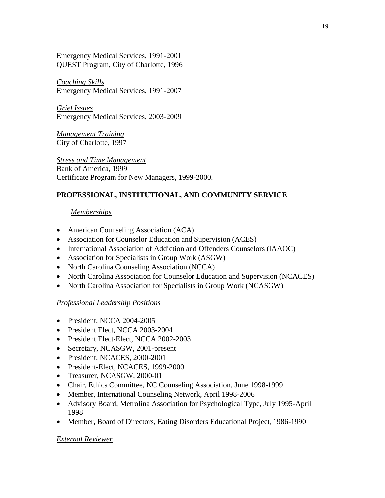Emergency Medical Services, 1991-2001 QUEST Program, City of Charlotte, 1996

*Coaching Skills* Emergency Medical Services, 1991-2007

*Grief Issues* Emergency Medical Services, 2003-2009

*Management Training* City of Charlotte, 1997

*Stress and Time Management* Bank of America, 1999 Certificate Program for New Managers, 1999-2000.

# **PROFESSIONAL, INSTITUTIONAL, AND COMMUNITY SERVICE**

# *Memberships*

- American Counseling Association (ACA)
- Association for Counselor Education and Supervision (ACES)
- International Association of Addiction and Offenders Counselors (IAAOC)
- Association for Specialists in Group Work (ASGW)
- North Carolina Counseling Association (NCCA)
- North Carolina Association for Counselor Education and Supervision (NCACES)
- North Carolina Association for Specialists in Group Work (NCASGW)

# *Professional Leadership Positions*

- President, NCCA 2004-2005
- President Elect, NCCA 2003-2004
- President Elect-Elect, NCCA 2002-2003
- Secretary, NCASGW, 2001-present
- President, NCACES, 2000-2001
- President-Elect, NCACES, 1999-2000.
- Treasurer, NCASGW, 2000-01
- Chair, Ethics Committee, NC Counseling Association, June 1998-1999
- Member, International Counseling Network, April 1998-2006
- Advisory Board, Metrolina Association for Psychological Type, July 1995-April 1998
- Member, Board of Directors, Eating Disorders Educational Project, 1986-1990

# *External Reviewer*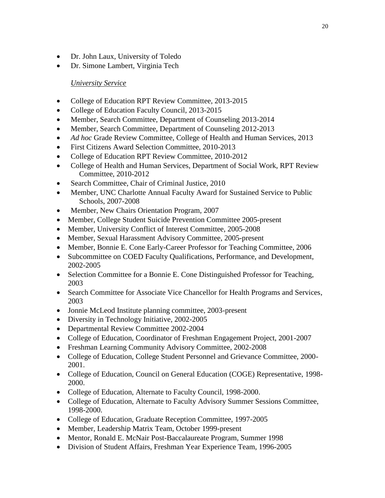- Dr. John Laux, University of Toledo
- Dr. Simone Lambert, Virginia Tech

# *University Service*

- College of Education RPT Review Committee, 2013-2015
- College of Education Faculty Council, 2013-2015
- Member, Search Committee, Department of Counseling 2013-2014
- Member, Search Committee, Department of Counseling 2012-2013
- *Ad hoc* Grade Review Committee, College of Health and Human Services, 2013
- First Citizens Award Selection Committee, 2010-2013
- College of Education RPT Review Committee, 2010-2012
- College of Health and Human Services, Department of Social Work, RPT Review Committee, 2010-2012
- Search Committee, Chair of Criminal Justice, 2010
- Member, UNC Charlotte Annual Faculty Award for Sustained Service to Public Schools, 2007-2008
- Member, New Chairs Orientation Program, 2007
- Member, College Student Suicide Prevention Committee 2005-present
- Member, University Conflict of Interest Committee, 2005-2008
- Member, Sexual Harassment Advisory Committee, 2005-present
- Member, Bonnie E. Cone Early-Career Professor for Teaching Committee, 2006
- Subcommittee on COED Faculty Qualifications, Performance, and Development, 2002-2005
- Selection Committee for a Bonnie E. Cone Distinguished Professor for Teaching, 2003
- Search Committee for Associate Vice Chancellor for Health Programs and Services, 2003
- Jonnie McLeod Institute planning committee, 2003-present
- Diversity in Technology Initiative, 2002-2005
- Departmental Review Committee 2002-2004
- College of Education, Coordinator of Freshman Engagement Project, 2001-2007
- Freshman Learning Community Advisory Committee, 2002-2008
- College of Education, College Student Personnel and Grievance Committee, 2000- 2001.
- College of Education, Council on General Education (COGE) Representative, 1998- 2000.
- College of Education, Alternate to Faculty Council, 1998-2000.
- College of Education, Alternate to Faculty Advisory Summer Sessions Committee, 1998-2000.
- College of Education, Graduate Reception Committee, 1997-2005
- Member, Leadership Matrix Team, October 1999-present
- Mentor, Ronald E. McNair Post-Baccalaureate Program, Summer 1998
- Division of Student Affairs, Freshman Year Experience Team, 1996-2005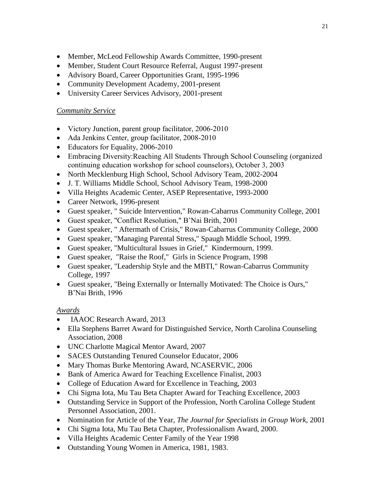- Member, McLeod Fellowship Awards Committee, 1990-present
- Member, Student Court Resource Referral, August 1997-present
- Advisory Board, Career Opportunities Grant, 1995-1996
- Community Development Academy, 2001-present
- University Career Services Advisory, 2001-present

# *Community Service*

- Victory Junction, parent group facilitator, 2006-2010
- Ada Jenkins Center, group facilitator, 2008-2010
- Educators for Equality, 2006-2010
- Embracing Diversity:Reaching All Students Through School Counseling (organized continuing education workshop for school counselors), October 3, 2003
- North Mecklenburg High School, School Advisory Team, 2002-2004
- J. T. Williams Middle School, School Advisory Team, 1998-2000
- Villa Heights Academic Center, ASEP Representative, 1993-2000
- Career Network, 1996-present
- Guest speaker, " Suicide Intervention," Rowan-Cabarrus Community College, 2001
- Guest speaker, "Conflict Resolution," B'Nai Brith, 2001
- Guest speaker, " Aftermath of Crisis," Rowan-Cabarrus Community College, 2000
- Guest speaker, "Managing Parental Stress," Spaugh Middle School, 1999.
- Guest speaker, "Multicultural Issues in Grief," Kindermourn, 1999.
- Guest speaker, "Raise the Roof," Girls in Science Program, 1998
- Guest speaker, "Leadership Style and the MBTI," Rowan-Cabarrus Community College, 1997
- Guest speaker, "Being Externally or Internally Motivated: The Choice is Ours," B'Nai Brith, 1996

# *Awards*

- **IAAOC** Research Award, 2013
- Ella Stephens Barret Award for Distinguished Service, North Carolina Counseling Association, 2008
- UNC Charlotte Magical Mentor Award, 2007
- SACES Outstanding Tenured Counselor Educator, 2006
- Mary Thomas Burke Mentoring Award, NCASERVIC, 2006
- Bank of America Award for Teaching Excellence Finalist, 2003
- College of Education Award for Excellence in Teaching, 2003
- Chi Sigma Iota, Mu Tau Beta Chapter Award for Teaching Excellence, 2003
- Outstanding Service in Support of the Profession, North Carolina College Student Personnel Association, 2001.
- Nomination for Article of the Year, *The Journal for Specialists in Group Work,* 2001
- Chi Sigma Iota, Mu Tau Beta Chapter, Professionalism Award, 2000.
- Villa Heights Academic Center Family of the Year 1998
- Outstanding Young Women in America, 1981, 1983.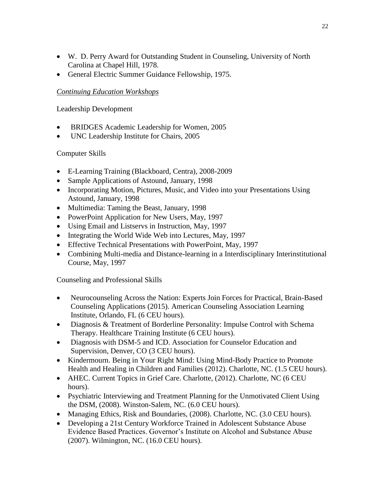- W. D. Perry Award for Outstanding Student in Counseling, University of North Carolina at Chapel Hill, 1978.
- General Electric Summer Guidance Fellowship, 1975.

# *Continuing Education Workshops*

Leadership Development

- BRIDGES Academic Leadership for Women, 2005
- UNC Leadership Institute for Chairs, 2005

# Computer Skills

- E-Learning Training (Blackboard, Centra), 2008-2009
- Sample Applications of Astound, January, 1998
- Incorporating Motion, Pictures, Music, and Video into your Presentations Using Astound, January, 1998
- Multimedia: Taming the Beast, January, 1998
- PowerPoint Application for New Users, May, 1997
- Using Email and Listservs in Instruction, May, 1997
- Integrating the World Wide Web into Lectures, May, 1997
- Effective Technical Presentations with PowerPoint, May, 1997
- Combining Multi-media and Distance-learning in a Interdisciplinary Interinstitutional Course, May, 1997

Counseling and Professional Skills

- Neurocounseling Across the Nation: Experts Join Forces for Practical, Brain-Based Counseling Applications (2015). American Counseling Association Learning Institute, Orlando, FL (6 CEU hours).
- Diagnosis & Treatment of Borderline Personality: Impulse Control with Schema Therapy. Healthcare Training Institute (6 CEU hours).
- Diagnosis with DSM-5 and ICD. Association for Counselor Education and Supervision, Denver, CO (3 CEU hours).
- Kindermourn. Being in Your Right Mind: Using Mind-Body Practice to Promote Health and Healing in Children and Families (2012). Charlotte, NC. (1.5 CEU hours).
- AHEC. Current Topics in Grief Care. Charlotte, (2012). Charlotte, NC (6 CEU hours).
- Psychiatric Interviewing and Treatment Planning for the Unmotivated Client Using the DSM, (2008). Winston-Salem, NC. (6.0 CEU hours).
- Managing Ethics, Risk and Boundaries, (2008). Charlotte, NC. (3.0 CEU hours).
- Developing a 21st Century Workforce Trained in Adolescent Substance Abuse Evidence Based Practices. Governor's Institute on Alcohol and Substance Abuse (2007). Wilmington, NC. (16.0 CEU hours).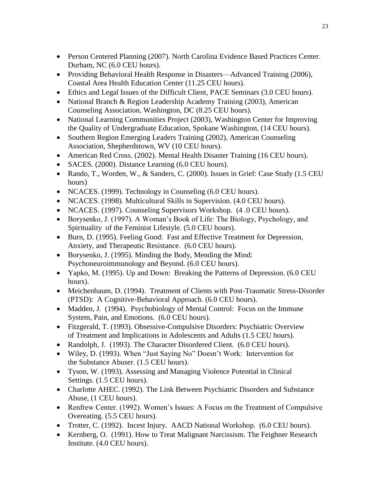- Person Centered Planning (2007). North Carolina Evidence Based Practices Center. Durham, NC (6.0 CEU hours).
- Providing Behavioral Health Response in Disasters—Advanced Training (2006), Coastal Area Health Education Center (11.25 CEU hours).
- Ethics and Legal Issues of the Difficult Client, PACE Seminars (3.0 CEU hours).
- National Branch & Region Leadership Academy Training (2003), American Counseling Association, Washington, DC (8.25 CEU hours).
- National Learning Communities Project (2003), Washington Center for Improving the Quality of Undergraduate Education, Spokane Washington, (14 CEU hours).
- Southern Region Emerging Leaders Training (2002), American Counseling Association, Shepherdstown, WV (10 CEU hours).
- American Red Cross. (2002). Mental Health Disaster Training (16 CEU hours).
- SACES. (2000). Distance Learning (6.0 CEU hours).
- Rando, T., Worden, W., & Sanders, C. (2000). Issues in Grief: Case Study (1.5 CEU hours)
- NCACES. (1999). Technology in Counseling (6.0 CEU hours).
- NCACES. (1998). Multicultural Skills in Supervision. (4.0 CEU hours).
- NCACES. (1997). Counseling Supervisors Workshop. (4.0 CEU hours).
- Borysenko, J. (1997). A Woman's Book of Life: The Biology, Psychology, and Spirituality of the Feminist Lifestyle. (5.0 CEU hours).
- Burn, D. (1995). Feeling Good: Fast and Effective Treatment for Depression, Anxiety, and Therapeutic Resistance. (6.0 CEU hours).
- Borysenko, J. (1995). Minding the Body, Mending the Mind: Psychoneuroimmunology and Beyond. (6.0 CEU hours).
- Yapko, M. (1995). Up and Down: Breaking the Patterns of Depression. (6.0 CEU hours).
- Meichenbaum, D. (1994). Treatment of Clients with Post-Traumatic Stress-Disorder (PTSD): A Cognitive-Behavioral Approach. (6.0 CEU hours).
- Madden, J. (1994). Psychobiology of Mental Control: Focus on the Immune System, Pain, and Emotions. (6.0 CEU hours).
- Fitzgerald, T. (1993). Obsessive-Compulsive Disorders: Psychiatric Overview of Treatment and Implications in Adolescents and Adults (1.5 CEU hours).
- Randolph, J. (1993). The Character Disordered Client. (6.0 CEU hours).
- Wiley, D. (1993). When "Just Saying No" Doesn't Work: Intervention for the Substance Abuser. (1.5 CEU hours).
- Tyson, W. (1993). Assessing and Managing Violence Potential in Clinical Settings. (1.5 CEU hours).
- Charlotte AHEC. (1992). The Link Between Psychiatric Disorders and Substance Abuse, (1 CEU hours).
- Renfrew Center. (1992). Women's Issues: A Focus on the Treatment of Compulsive Overeating. (5.5 CEU hours).
- Trotter, C. (1992). Incest Injury. AACD National Workshop. (6.0 CEU hours).
- Kernberg, O. (1991). How to Treat Malignant Narcissism. The Feighner Research Institute. (4.0 CEU hours).